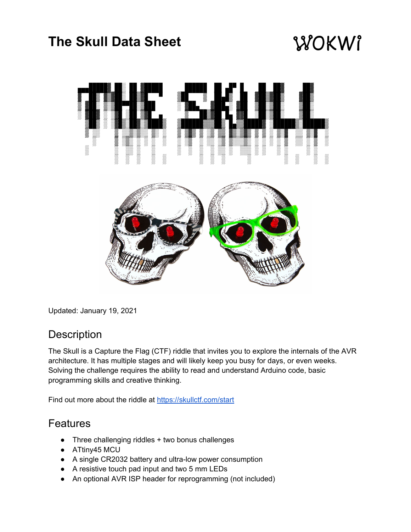## **The Skull Data Sheet**

# WOKWI



Updated: January 19, 2021

#### **Description**

The Skull is a Capture the Flag (CTF) riddle that invites you to explore the internals of the AVR architecture. It has multiple stages and will likely keep you busy for days, or even weeks. Solving the challenge requires the ability to read and understand Arduino code, basic programming skills and creative thinking.

Find out more about the riddle at <https://skullctf.com/start>

#### Features

- Three challenging riddles + two bonus challenges
- ATtiny45 MCU
- A single CR2032 battery and ultra-low power consumption
- A resistive touch pad input and two 5 mm LEDs
- An optional AVR ISP header for reprogramming (not included)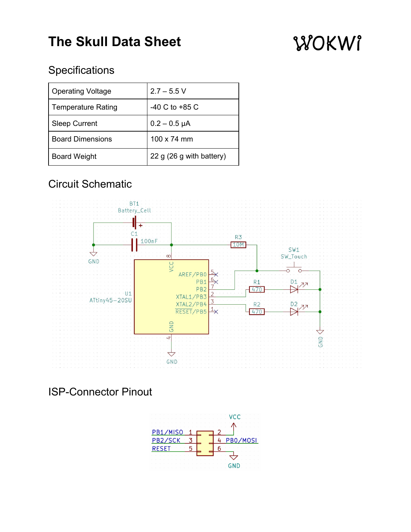## **The Skull Data Sheet**

# WOKWI

### **Specifications**

| <b>Operating Voltage</b>  | $2.7 - 5.5 V$            |
|---------------------------|--------------------------|
| <b>Temperature Rating</b> | $-40$ C to $+85$ C       |
| <b>Sleep Current</b>      | $0.2 - 0.5 \mu A$        |
| <b>Board Dimensions</b>   | 100 x 74 mm              |
| <b>Board Weight</b>       | 22 g (26 g with battery) |

### Circuit Schematic



ISP-Connector Pinout

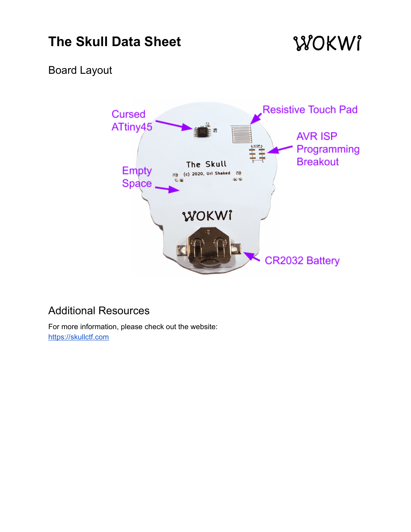## **The Skull Data Sheet**

## WOKWI

#### Board Layout



#### Additional Resources

For more information, please check out the website: [https://skullctf.com](https://skullctf.com/)